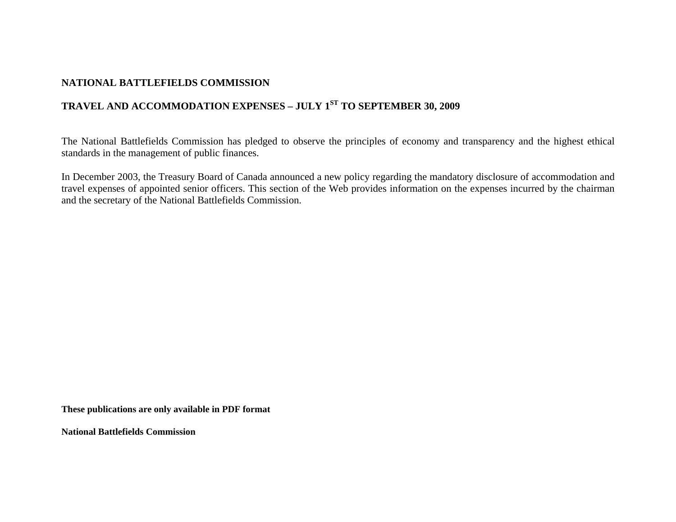# **NATIONAL BATTLEFIELDS COMMISSION**

# **TRAVEL AND ACCOMMODATION EXPENSES – JULY 1ST TO SEPTEMBER 30, 2009**

The National Battlefields Commission has pledged to observe the principles of economy and transparency and the highest ethical standards in the management of public finances.

In December 2003, the Treasury Board of Canada announced a new policy regarding the mandatory disclosure of accommodation and travel expenses of appointed senior officers. This section of the Web provides information on the expenses incurred by the chairman and the secretary of the National Battlefields Commission.

**These publications are only available in PDF format** 

**National Battlefields Commission**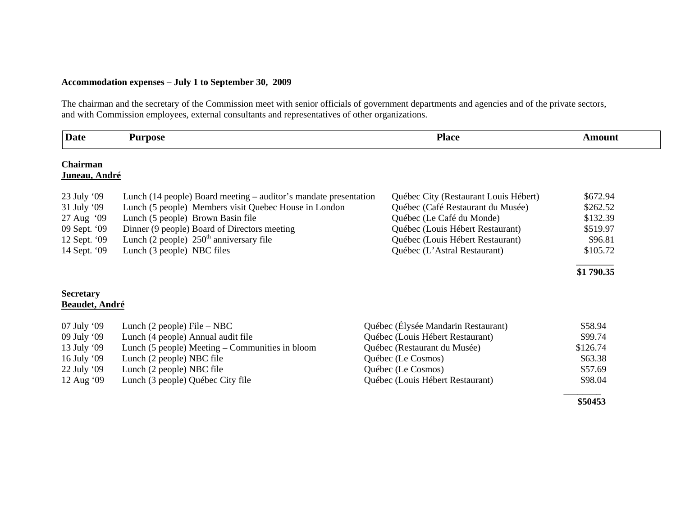## **Accommodation expenses – July 1 to September 30, 2009**

The chairman and the secretary of the Commission meet with senior officials of government departments and agencies and of the private sectors, and with Commission employees, external consultants and representatives of other organizations.

| <b>Date</b>           | <b>Purpose</b>                                                   | <b>Place</b>                          | <b>Amount</b> |
|-----------------------|------------------------------------------------------------------|---------------------------------------|---------------|
| Chairman              |                                                                  |                                       |               |
| Juneau, André         |                                                                  |                                       |               |
| 23 July '09           | Lunch (14 people) Board meeting – auditor's mandate presentation | Québec City (Restaurant Louis Hébert) | \$672.94      |
| 31 July '09           | Lunch (5 people) Members visit Quebec House in London            | Québec (Café Restaurant du Musée)     | \$262.52      |
| 27 Aug '09            | Lunch (5 people) Brown Basin file                                | Québec (Le Café du Monde)             | \$132.39      |
| 09 Sept. '09          | Dinner (9 people) Board of Directors meeting                     | Québec (Louis Hébert Restaurant)      | \$519.97      |
| 12 Sept. '09          | Lunch (2 people) $250th$ anniversary file                        | Québec (Louis Hébert Restaurant)      | \$96.81       |
| 14 Sept. '09          | Lunch (3 people) NBC files                                       | Québec (L'Astral Restaurant)          | \$105.72      |
|                       |                                                                  |                                       | \$1 790.35    |
| <b>Secretary</b>      |                                                                  |                                       |               |
| <b>Beaudet, André</b> |                                                                  |                                       |               |
| 07 July '09           | Lunch $(2$ people) File – NBC                                    | Québec (Élysée Mandarin Restaurant)   | \$58.94       |
| 09 July '09           | Lunch (4 people) Annual audit file                               | Québec (Louis Hébert Restaurant)      | \$99.74       |
| 13 July '09           | Lunch (5 people) Meeting – Communities in bloom                  | Québec (Restaurant du Musée)          | \$126.74      |
| 16 July '09           | Lunch (2 people) NBC file                                        | Québec (Le Cosmos)                    | \$63.38       |
| 22 July '09           | Lunch (2 people) NBC file                                        | Québec (Le Cosmos)                    | \$57.69       |
| 12 Aug '09            | Lunch (3 people) Québec City file                                | Québec (Louis Hébert Restaurant)      | \$98.04       |
|                       |                                                                  |                                       | \$50453       |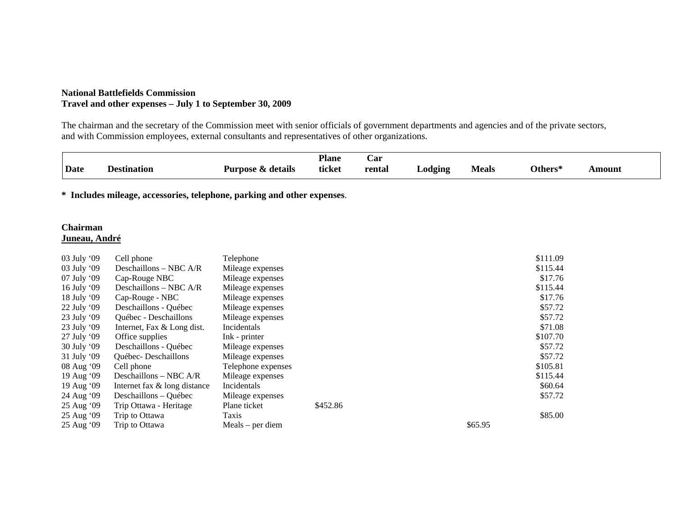### **National Battlefields Commission Travel and other expenses – July 1 to September 30, 2009**

The chairman and the secretary of the Commission meet with senior officials of government departments and agencies and of the private sectors, and with Commission employees, external consultants and representatives of other organizations.

|             |                    |                                  | <b>Plane</b> | Car    |                      |            |              |       |
|-------------|--------------------|----------------------------------|--------------|--------|----------------------|------------|--------------|-------|
| <b>Date</b> | <b>Destination</b> | Purpose<br>z details<br>$\infty$ | ticket       | rental | $\Delta$ odging<br>- | Meals<br>. | Others*<br>. | mount |

**\* Includes mileage, accessories, telephone, parking and other expenses**.

### **Chairman Juneau, André**

| 03 July '09   | Cell phone                   | Telephone          |          | \$111.09 |
|---------------|------------------------------|--------------------|----------|----------|
| 03 July '09   | Deschaillons - NBC A/R       | Mileage expenses   |          | \$115.44 |
| $07$ July '09 | Cap-Rouge NBC                | Mileage expenses   |          | \$17.76  |
| 16 July '09   | Deschaillons – NBC $A/R$     | Mileage expenses   |          | \$115.44 |
| $18$ July '09 | Cap-Rouge - NBC              | Mileage expenses   |          | \$17.76  |
| 22 July '09   | Deschaillons - Québec        | Mileage expenses   |          | \$57.72  |
| 23 July '09   | Québec - Deschaillons        | Mileage expenses   |          | \$57.72  |
| 23 July '09   | Internet, Fax & Long dist.   | Incidentals        |          | \$71.08  |
| 27 July '09   | Office supplies              | Ink - printer      |          | \$107.70 |
| 30 July '09   | Deschaillons - Québec        | Mileage expenses   |          | \$57.72  |
| 31 July '09   | Québec-Deschaillons          | Mileage expenses   |          | \$57.72  |
| 08 Aug '09    | Cell phone                   | Telephone expenses |          | \$105.81 |
| 19 Aug '09    | Deschaillons – NBC A/R       | Mileage expenses   |          | \$115.44 |
| 19 Aug '09    | Internet fax & long distance | Incidentals        |          | \$60.64  |
| 24 Aug '09    | Deschaillons - Québec        | Mileage expenses   |          | \$57.72  |
| 25 Aug '09    | Trip Ottawa - Heritage       | Plane ticket       | \$452.86 |          |
| 25 Aug '09    | Trip to Ottawa               | Taxis              |          | \$85.00  |
| 25 Aug '09    | Trip to Ottawa               | $Meals$ – per diem |          | \$65.95  |